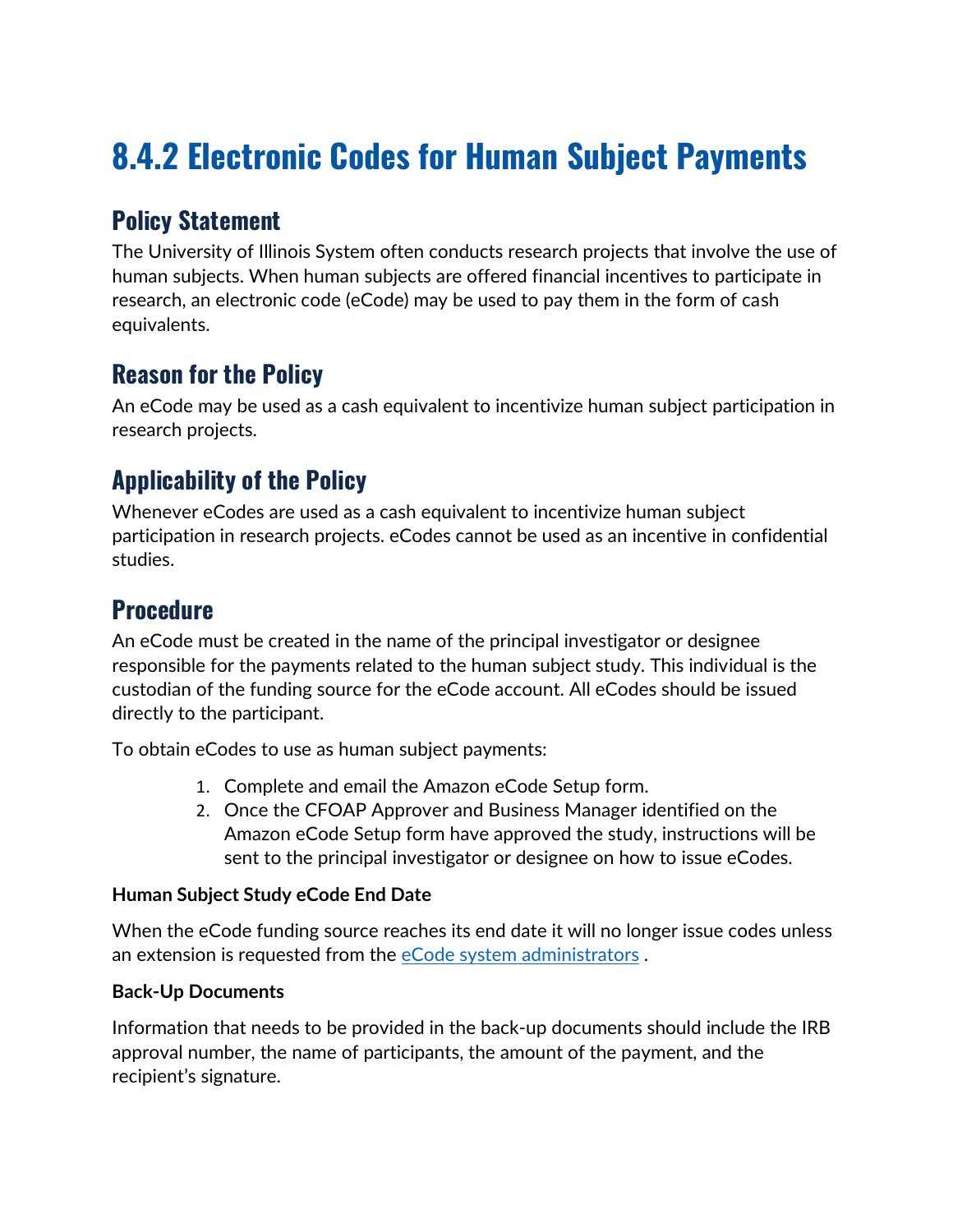# **8.4.2 Electronic Codes for Human Subject Payments**

## **Policy Statement**

The University of Illinois System often conducts research projects that involve the use of human subjects. When human subjects are offered financial incentives to participate in research, an electronic code (eCode) may be used to pay them in the form of cash equivalents.

## **Reason for the Policy**

An eCode may be used as a cash equivalent to incentivize human subject participation in research projects.

## **Applicability of the Policy**

Whenever eCodes are used as a cash equivalent to incentivize human subject participation in research projects. eCodes cannot be used as an incentive in confidential studies.

#### **Procedure**

An eCode must be created in the name of the principal investigator or designee responsible for the payments related to the human subject study. This individual is the custodian of the funding source for the eCode account. All eCodes should be issued directly to the participant.

To obtain eCodes to use as human subject payments:

- 1. Complete and email the Amazon eCode Setup form.
- 2. Once the CFOAP Approver and Business Manager identified on the Amazon eCode Setup form have approved the study, instructions will be sent to the principal investigator or designee on how to issue eCodes.

#### **Human Subject Study eCode End Date**

When the eCode funding source reaches its end date it will no longer issue codes unless an extension is requested from the [eCode system administrators](mailto:Henkel,%20Marc%20%3cmwh@uillinois.edu%3e).

#### **Back-Up Documents**

Information that needs to be provided in the back-up documents should include the IRB approval number, the name of participants, the amount of the payment, and the recipient's signature.